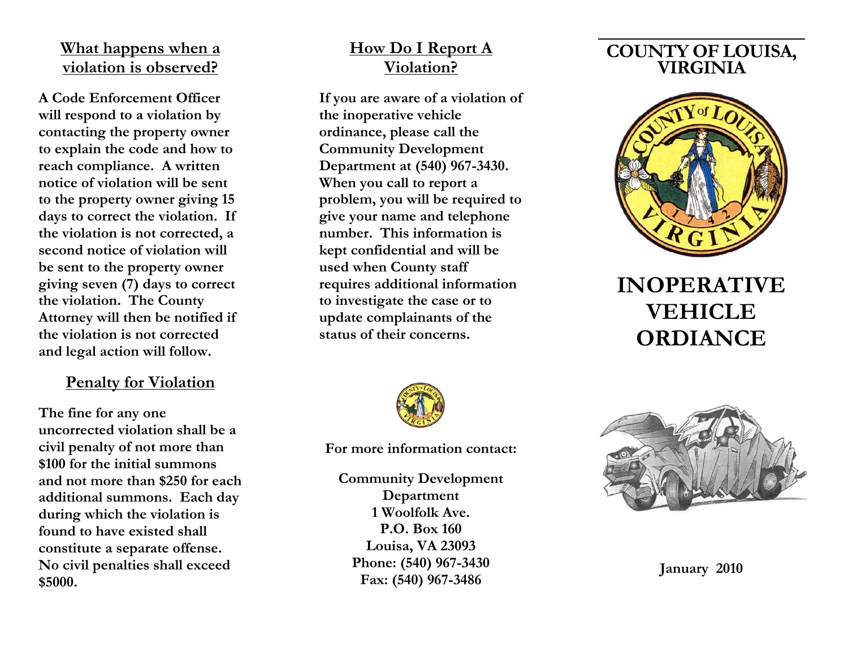#### **What happens when a violation is observed?**

**A Code Enforcement Officer will respond to a violation by contacting the property owner to explain the code and how to reach compliance. A written notice of violation will be sent to the property owner giving 15 days to correct the violation. If the violation is not corrected, a second notice of violation will be sent to the property owner giving seven (7) days to correct the violation. The County Attorney will then be notified if the violation is not corrected and legal action will follow.** 

## **Penalty for Violation**

**The fine for any one uncorrected violation shall be a civil penalty of not more than \$100 for the initial summons and not more than \$250 for each additional summons. Each day during which the violation is found to have existed shall constitute a separate offense. No civil penalties shall exceed \$5000.** 

# **How Do I Report A Violation?**

**If you are aware of a violation of the inoperative vehicle ordinance, please call the Community Development Department at (540) 967-3430. When you call to report a problem, you will be required to give your name and telephone number. This information is kept confidential and will be used when County staff requires additional information to investigate the case or to update complainants of the status of their concerns.** 



**For more information contact:** 

**Community Development Department 1 Woolfolk Ave. P.O. Box 160 Louisa, VA 23093 Phone: (540) 967-3430 Fax: (540) 967-3486** 





# **INOPERATIVE VEHICLE ORDIANCE**



**January 2010**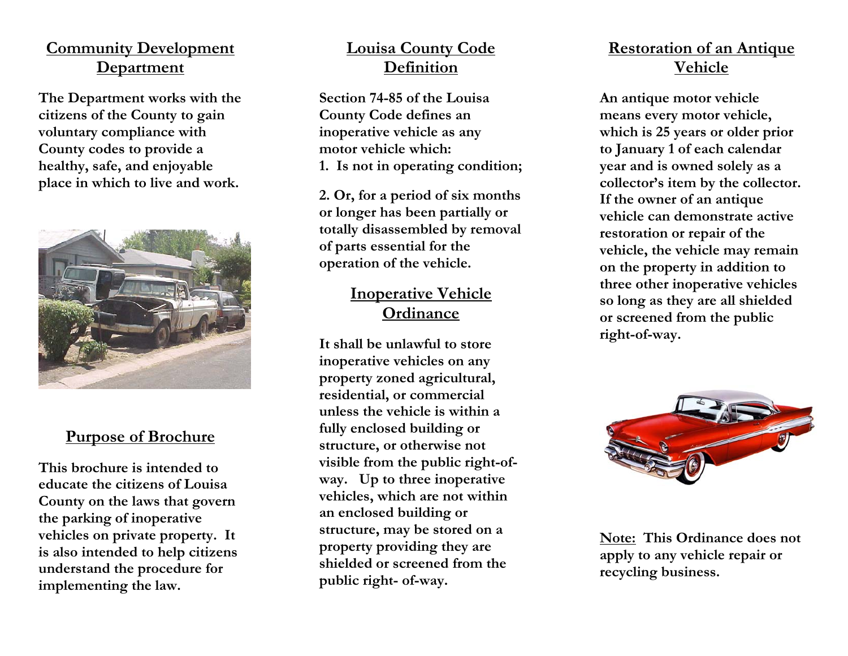## **Community Development Department**

**The Department works with the citizens of the County to gain voluntary compliance with County codes to provide a healthy, safe, and enjoyable place in which to live and work.** 



## **Purpose of Brochure**

**This brochure is intended to educate the citizens of Louisa County on the laws that govern the parking of inoperative vehicles on private property. It is also intended to help citizens understand the procedure for implementing the law.** 

## **Louisa County Code Definition**

**Section 74-85 of the Louisa County Code defines an inoperative vehicle as any motor vehicle which: 1. Is not in operating condition;** 

**2. Or, for a period of six months or longer has been partially or totally disassembled by removal of parts essential for the operation of the vehicle.** 

# **Inoperative Vehicle Ordinance**

**It shall be unlawful to store inoperative vehicles on any property zoned agricultural, residential, or commercial unless the vehicle is within a fully enclosed building or structure, or otherwise not visible from the public right-ofway. Up to three inoperative vehicles, which are not within an enclosed building or structure, may be stored on a property providing they are shielded or screened from the public right- of-way.** 

## **Restoration of an Antique Vehicle**

**An antique motor vehicle means every motor vehicle, which is 25 years or older prior to January 1 of each calendar year and is owned solely as a collector's item by the collector. If the owner of an antique vehicle can demonstrate active restoration or repair of the vehicle, the vehicle may remain on the property in addition to three other inoperative vehicles so long as they are all shielded or screened from the public right-of-way.** 



**Note: This Ordinance does not apply to any vehicle repair or recycling business.**